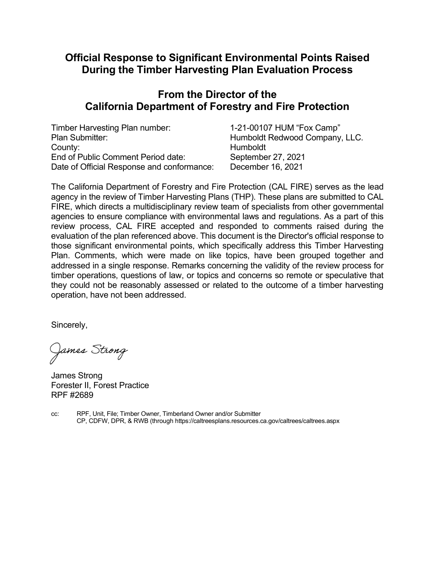# Official Response to Significant Environmental Points Raised During the Timber Harvesting Plan Evaluation Process

# From the Director of the California Department of Forestry and Fire Protection

| Timber Harvesting Plan number:             | 1-21-00107 HUM "Fox Camp"      |
|--------------------------------------------|--------------------------------|
| Plan Submitter:                            | Humboldt Redwood Company, LLC. |
| County:                                    | Humboldt                       |
| End of Public Comment Period date:         | September 27, 2021             |
| Date of Official Response and conformance: | December 16, 2021              |

The California Department of Forestry and Fire Protection (CAL FIRE) serves as the lead agency in the review of Timber Harvesting Plans (THP). These plans are submitted to CAL FIRE, which directs a multidisciplinary review team of specialists from other governmental agencies to ensure compliance with environmental laws and regulations. As a part of this review process, CAL FIRE accepted and responded to comments raised during the evaluation of the plan referenced above. This document is the Director's official response to those significant environmental points, which specifically address this Timber Harvesting Plan. Comments, which were made on like topics, have been grouped together and addressed in a single response. Remarks concerning the validity of the review process for timber operations, questions of law, or topics and concerns so remote or speculative that they could not be reasonably assessed or related to the outcome of a timber harvesting operation, have not been addressed.

Sincerely,

James Strong

James Strong Forester II, Forest Practice RPF #2689

cc: RPF, Unit, File; Timber Owner, Timberland Owner and/or Submitter CP, CDFW, DPR, & RWB (through https://caltreesplans.resources.ca.gov/caltrees/caltrees.aspx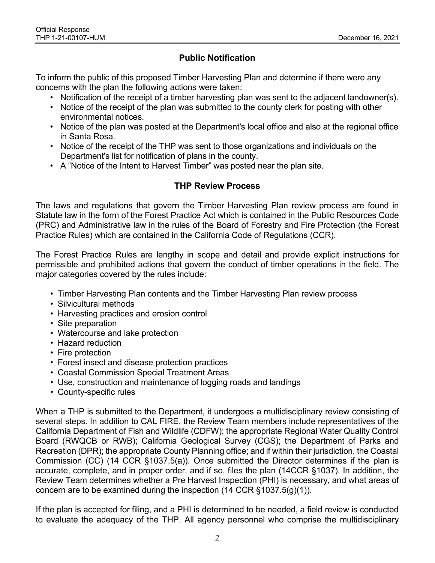# Public Notification

To inform the public of this proposed Timber Harvesting Plan and determine if there were any concerns with the plan the following actions were taken:

- Notification of the receipt of a timber harvesting plan was sent to the adjacent landowner(s).
- Notice of the receipt of the plan was submitted to the county clerk for posting with other environmental notices.
- Notice of the plan was posted at the Department's local office and also at the regional office in Santa Rosa.
- Notice of the receipt of the THP was sent to those organizations and individuals on the Department's list for notification of plans in the county.
- A "Notice of the Intent to Harvest Timber" was posted near the plan site.

## THP Review Process

The laws and regulations that govern the Timber Harvesting Plan review process are found in Statute law in the form of the Forest Practice Act which is contained in the Public Resources Code (PRC) and Administrative law in the rules of the Board of Forestry and Fire Protection (the Forest Practice Rules) which are contained in the California Code of Regulations (CCR).

The Forest Practice Rules are lengthy in scope and detail and provide explicit instructions for permissible and prohibited actions that govern the conduct of timber operations in the field. The major categories covered by the rules include:

- Timber Harvesting Plan contents and the Timber Harvesting Plan review process
- Silvicultural methods
- Harvesting practices and erosion control
- Site preparation
- Watercourse and lake protection
- Hazard reduction
- Fire protection
- Forest insect and disease protection practices
- Coastal Commission Special Treatment Areas
- Use, construction and maintenance of logging roads and landings
- County-specific rules

When a THP is submitted to the Department, it undergoes a multidisciplinary review consisting of several steps. In addition to CAL FIRE, the Review Team members include representatives of the California Department of Fish and Wildlife (CDFW); the appropriate Regional Water Quality Control Board (RWQCB or RWB); California Geological Survey (CGS); the Department of Parks and Recreation (DPR); the appropriate County Planning office; and if within their jurisdiction, the Coastal Commission (CC) (14 CCR §1037.5(a)). Once submitted the Director determines if the plan is accurate, complete, and in proper order, and if so, files the plan (14CCR §1037). In addition, the Review Team determines whether a Pre Harvest Inspection (PHI) is necessary, and what areas of concern are to be examined during the inspection  $(14$  CCR §1037.5(g)(1)).

If the plan is accepted for filing, and a PHI is determined to be needed, a field review is conducted to evaluate the adequacy of the THP. All agency personnel who comprise the multidisciplinary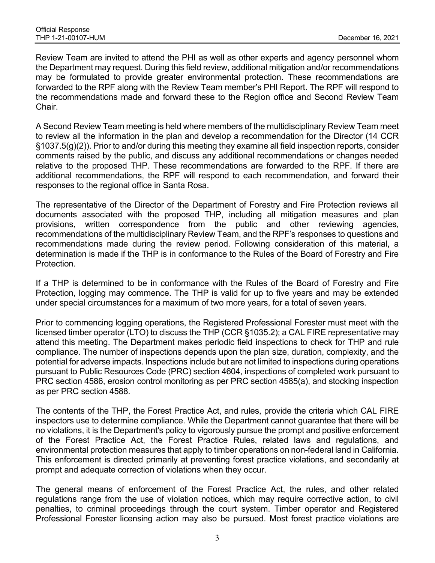Review Team are invited to attend the PHI as well as other experts and agency personnel whom the Department may request. During this field review, additional mitigation and/or recommendations may be formulated to provide greater environmental protection. These recommendations are forwarded to the RPF along with the Review Team member's PHI Report. The RPF will respond to the recommendations made and forward these to the Region office and Second Review Team Chair.

A Second Review Team meeting is held where members of the multidisciplinary Review Team meet to review all the information in the plan and develop a recommendation for the Director (14 CCR §1037.5(g)(2)). Prior to and/or during this meeting they examine all field inspection reports, consider comments raised by the public, and discuss any additional recommendations or changes needed relative to the proposed THP. These recommendations are forwarded to the RPF. If there are additional recommendations, the RPF will respond to each recommendation, and forward their responses to the regional office in Santa Rosa.

The representative of the Director of the Department of Forestry and Fire Protection reviews all documents associated with the proposed THP, including all mitigation measures and plan provisions, written correspondence from the public and other reviewing agencies, recommendations of the multidisciplinary Review Team, and the RPF's responses to questions and recommendations made during the review period. Following consideration of this material, a determination is made if the THP is in conformance to the Rules of the Board of Forestry and Fire Protection.

If a THP is determined to be in conformance with the Rules of the Board of Forestry and Fire Protection, logging may commence. The THP is valid for up to five years and may be extended under special circumstances for a maximum of two more years, for a total of seven years.

Prior to commencing logging operations, the Registered Professional Forester must meet with the licensed timber operator (LTO) to discuss the THP (CCR §1035.2); a CAL FIRE representative may attend this meeting. The Department makes periodic field inspections to check for THP and rule compliance. The number of inspections depends upon the plan size, duration, complexity, and the potential for adverse impacts. Inspections include but are not limited to inspections during operations pursuant to Public Resources Code (PRC) section 4604, inspections of completed work pursuant to PRC section 4586, erosion control monitoring as per PRC section 4585(a), and stocking inspection as per PRC section 4588.

The contents of the THP, the Forest Practice Act, and rules, provide the criteria which CAL FIRE inspectors use to determine compliance. While the Department cannot guarantee that there will be no violations, it is the Department's policy to vigorously pursue the prompt and positive enforcement of the Forest Practice Act, the Forest Practice Rules, related laws and regulations, and environmental protection measures that apply to timber operations on non-federal land in California. This enforcement is directed primarily at preventing forest practice violations, and secondarily at prompt and adequate correction of violations when they occur.

The general means of enforcement of the Forest Practice Act, the rules, and other related regulations range from the use of violation notices, which may require corrective action, to civil penalties, to criminal proceedings through the court system. Timber operator and Registered Professional Forester licensing action may also be pursued. Most forest practice violations are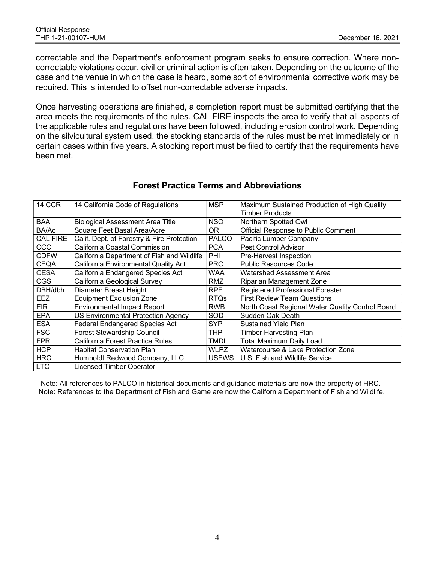correctable and the Department's enforcement program seeks to ensure correction. Where noncorrectable violations occur, civil or criminal action is often taken. Depending on the outcome of the case and the venue in which the case is heard, some sort of environmental corrective work may be required. This is intended to offset non-correctable adverse impacts.

Once harvesting operations are finished, a completion report must be submitted certifying that the area meets the requirements of the rules. CAL FIRE inspects the area to verify that all aspects of the applicable rules and regulations have been followed, including erosion control work. Depending on the silvicultural system used, the stocking standards of the rules must be met immediately or in certain cases within five years. A stocking report must be filed to certify that the requirements have been met.

| 14 CCR          | 14 California Code of Regulations          | MSP          | Maximum Sustained Production of High Quality     |
|-----------------|--------------------------------------------|--------------|--------------------------------------------------|
|                 |                                            |              | <b>Timber Products</b>                           |
| <b>BAA</b>      | Biological Assessment Area Title           | NSO.         | Northern Spotted Owl                             |
| BA/Ac           | Square Feet Basal Area/Acre                | OR.          | Official Response to Public Comment              |
| <b>CAL FIRE</b> | Calif. Dept. of Forestry & Fire Protection | <b>PALCO</b> | Pacific Lumber Company                           |
| CCC             | California Coastal Commission              | <b>PCA</b>   | <b>Pest Control Advisor</b>                      |
| <b>CDFW</b>     | California Department of Fish and Wildlife | PHI          | Pre-Harvest Inspection                           |
| <b>CEQA</b>     | California Environmental Quality Act       | <b>PRC</b>   | <b>Public Resources Code</b>                     |
| <b>CESA</b>     | California Endangered Species Act          | WAA          | Watershed Assessment Area                        |
| <b>CGS</b>      | California Geological Survey               | RMZ          | Riparian Management Zone                         |
| DBH/dbh         | Diameter Breast Height                     | RPF          | <b>Registered Professional Forester</b>          |
| EEZ             | <b>Equipment Exclusion Zone</b>            | RTQs         | <b>First Review Team Questions</b>               |
| <b>EIR</b>      | <b>Environmental Impact Report</b>         | RWB          | North Coast Regional Water Quality Control Board |
| <b>EPA</b>      | <b>US Environmental Protection Agency</b>  | SOD          | Sudden Oak Death                                 |
| <b>ESA</b>      | <b>Federal Endangered Species Act</b>      | SYP          | <b>Sustained Yield Plan</b>                      |
| <b>FSC</b>      | <b>Forest Stewardship Council</b>          | THP          | <b>Timber Harvesting Plan</b>                    |
| <b>FPR</b>      | California Forest Practice Rules           | TMDL         | <b>Total Maximum Daily Load</b>                  |
| <b>HCP</b>      | <b>Habitat Conservation Plan</b>           | WLPZ         | Watercourse & Lake Protection Zone               |
| <b>HRC</b>      | Humboldt Redwood Company, LLC              | <b>USFWS</b> | U.S. Fish and Wildlife Service                   |
| <b>LTO</b>      | <b>Licensed Timber Operator</b>            |              |                                                  |

## Forest Practice Terms and Abbreviations

Note: All references to PALCO in historical documents and guidance materials are now the property of HRC. Note: References to the Department of Fish and Game are now the California Department of Fish and Wildlife.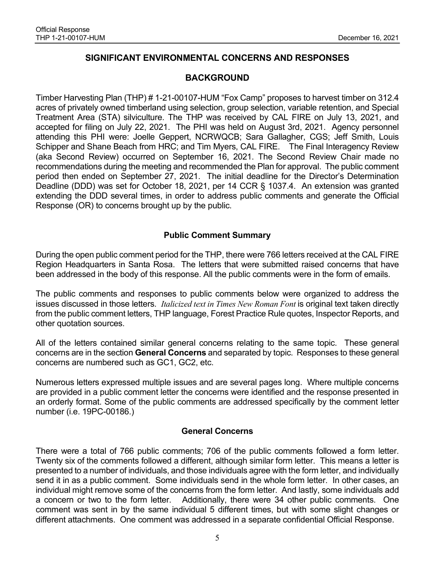# SIGNIFICANT ENVIRONMENTAL CONCERNS AND RESPONSES

## BACKGROUND

Timber Harvesting Plan (THP) # 1-21-00107-HUM "Fox Camp" proposes to harvest timber on 312.4 acres of privately owned timberland using selection, group selection, variable retention, and Special Treatment Area (STA) silviculture. The THP was received by CAL FIRE on July 13, 2021, and accepted for filing on July 22, 2021. The PHI was held on August 3rd, 2021. Agency personnel attending this PHI were: Joelle Geppert, NCRWQCB; Sara Gallagher, CGS; Jeff Smith, Louis Schipper and Shane Beach from HRC; and Tim Myers, CAL FIRE. The Final Interagency Review (aka Second Review) occurred on September 16, 2021. The Second Review Chair made no recommendations during the meeting and recommended the Plan for approval. The public comment period then ended on September 27, 2021. The initial deadline for the Director's Determination Deadline (DDD) was set for October 18, 2021, per 14 CCR § 1037.4. An extension was granted extending the DDD several times, in order to address public comments and generate the Official Response (OR) to concerns brought up by the public.

## Public Comment Summary

During the open public comment period for the THP, there were 766 letters received at the CAL FIRE Region Headquarters in Santa Rosa. The letters that were submitted raised concerns that have been addressed in the body of this response. All the public comments were in the form of emails.

The public comments and responses to public comments below were organized to address the issues discussed in those letters. Italicized text in Times New Roman Font is original text taken directly from the public comment letters, THP language, Forest Practice Rule quotes, Inspector Reports, and other quotation sources.

All of the letters contained similar general concerns relating to the same topic. These general concerns are in the section General Concerns and separated by topic. Responses to these general concerns are numbered such as GC1, GC2, etc.

Numerous letters expressed multiple issues and are several pages long. Where multiple concerns are provided in a public comment letter the concerns were identified and the response presented in an orderly format. Some of the public comments are addressed specifically by the comment letter number (i.e. 19PC-00186.)

## General Concerns

There were a total of 766 public comments; 706 of the public comments followed a form letter. Twenty six of the comments followed a different, although similar form letter. This means a letter is presented to a number of individuals, and those individuals agree with the form letter, and individually send it in as a public comment. Some individuals send in the whole form letter. In other cases, an individual might remove some of the concerns from the form letter. And lastly, some individuals add a concern or two to the form letter. Additionally, there were 34 other public comments. One comment was sent in by the same individual 5 different times, but with some slight changes or different attachments. One comment was addressed in a separate confidential Official Response.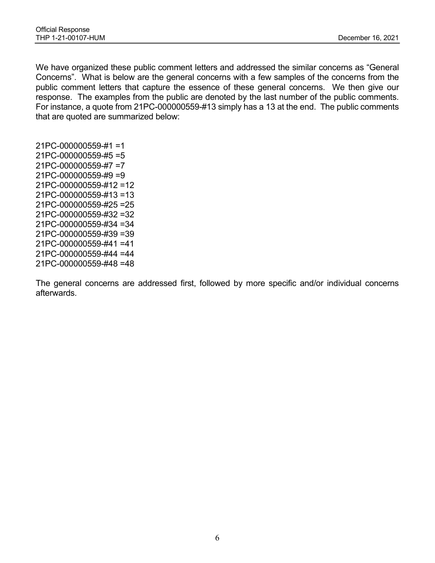We have organized these public comment letters and addressed the similar concerns as "General Concerns". What is below are the general concerns with a few samples of the concerns from the public comment letters that capture the essence of these general concerns. We then give our response. The examples from the public are denoted by the last number of the public comments. For instance, a quote from 21PC-000000559-#13 simply has a 13 at the end. The public comments that are quoted are summarized below:

21PC-000000559-#1 =1 21PC-000000559-#5 =5 21PC-000000559-#7 =7 21PC-000000559-#9 =9 21PC-000000559-#12 =12 21PC-000000559-#13 =13 21PC-000000559-#25 =25 21PC-000000559-#32 =32 21PC-000000559-#34 =34 21PC-000000559-#39 =39 21PC-000000559-#41 =41 21PC-000000559-#44 =44 21PC-000000559-#48 =48

The general concerns are addressed first, followed by more specific and/or individual concerns afterwards.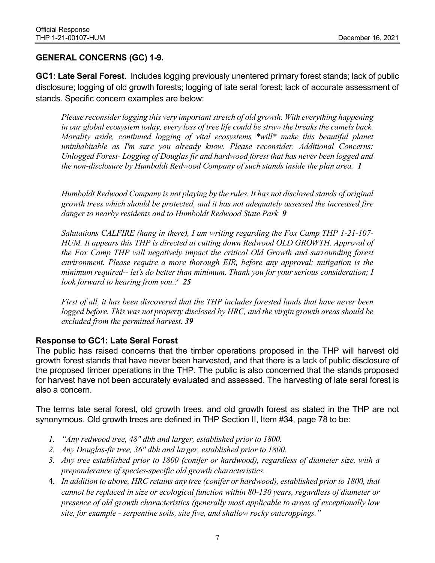## GENERAL CONCERNS (GC) 1-9.

GC1: Late Seral Forest. Includes logging previously unentered primary forest stands; lack of public disclosure; logging of old growth forests; logging of late seral forest; lack of accurate assessment of stands. Specific concern examples are below:

Please reconsider logging this very important stretch of old growth. With everything happening in our global ecosystem today, every loss of tree life could be straw the breaks the camels back. Morality aside, continued logging of vital ecosystems \*will\* make this beautiful planet uninhabitable as I'm sure you already know. Please reconsider. Additional Concerns: Unlogged Forest- Logging of Douglas fir and hardwood forest that has never been logged and the non-disclosure by Humboldt Redwood Company of such stands inside the plan area. 1

Humboldt Redwood Company is not playing by the rules. It has not disclosed stands of original growth trees which should be protected, and it has not adequately assessed the increased fire danger to nearby residents and to Humboldt Redwood State Park 9

Salutations CALFIRE (hang in there), I am writing regarding the Fox Camp THP 1-21-107- HUM. It appears this THP is directed at cutting down Redwood OLD GROWTH. Approval of the Fox Camp THP will negatively impact the critical Old Growth and surrounding forest environment. Please require a more thorough EIR, before any approval; mitigation is the minimum required-- let's do better than minimum. Thank you for your serious consideration; I look forward to hearing from you.? 25

First of all, it has been discovered that the THP includes forested lands that have never been logged before. This was not property disclosed by HRC, and the virgin growth areas should be excluded from the permitted harvest. 39

## Response to GC1: Late Seral Forest

The public has raised concerns that the timber operations proposed in the THP will harvest old growth forest stands that have never been harvested, and that there is a lack of public disclosure of the proposed timber operations in the THP. The public is also concerned that the stands proposed for harvest have not been accurately evaluated and assessed. The harvesting of late seral forest is also a concern.

The terms late seral forest, old growth trees, and old growth forest as stated in the THP are not synonymous. Old growth trees are defined in THP Section II, Item #34, page 78 to be:

- 1. "Any redwood tree, 48" dbh and larger, established prior to 1800.
- 2. Any Douglas-fir tree, 36" dbh and larger, established prior to 1800.
- 3. Any tree established prior to 1800 (conifer or hardwood), regardless of diameter size, with a preponderance of species-specific old growth characteristics.
- 4. In addition to above, HRC retains any tree (conifer or hardwood), established prior to 1800, that cannot be replaced in size or ecological function within 80-130 years, regardless of diameter or presence of old growth characteristics (generally most applicable to areas of exceptionally low site, for example - serpentine soils, site five, and shallow rocky outcroppings."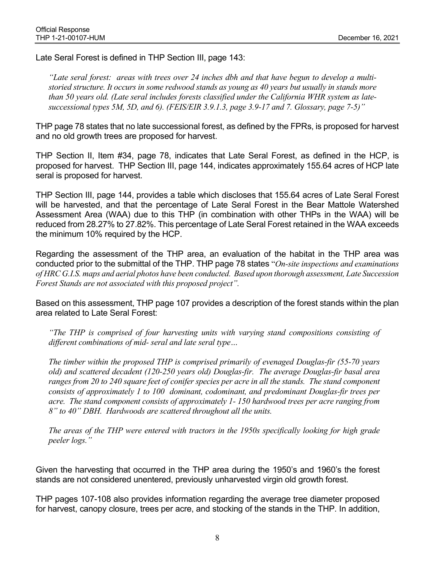Late Seral Forest is defined in THP Section III, page 143:

"Late seral forest: areas with trees over 24 inches dbh and that have begun to develop a multistoried structure. It occurs in some redwood stands as young as 40 years but usually in stands more than 50 years old. (Late seral includes forests classified under the California WHR system as latesuccessional types 5M, 5D, and 6). (FEIS/EIR 3.9.1.3, page 3.9-17 and 7. Glossary, page 7-5)"

THP page 78 states that no late successional forest, as defined by the FPRs, is proposed for harvest and no old growth trees are proposed for harvest.

THP Section II, Item #34, page 78, indicates that Late Seral Forest, as defined in the HCP, is proposed for harvest. THP Section III, page 144, indicates approximately 155.64 acres of HCP late seral is proposed for harvest.

THP Section III, page 144, provides a table which discloses that 155.64 acres of Late Seral Forest will be harvested, and that the percentage of Late Seral Forest in the Bear Mattole Watershed Assessment Area (WAA) due to this THP (in combination with other THPs in the WAA) will be reduced from 28.27% to 27.82%. This percentage of Late Seral Forest retained in the WAA exceeds the minimum 10% required by the HCP.

Regarding the assessment of the THP area, an evaluation of the habitat in the THP area was conducted prior to the submittal of the THP. THP page 78 states "On-site inspections and examinations" of HRC G.I.S. maps and aerial photos have been conducted. Based upon thorough assessment, Late Succession Forest Stands are not associated with this proposed project".

Based on this assessment, THP page 107 provides a description of the forest stands within the plan area related to Late Seral Forest:

"The THP is comprised of four harvesting units with varying stand compositions consisting of different combinations of mid- seral and late seral type…

The timber within the proposed THP is comprised primarily of evenaged Douglas-fir (55-70 years old) and scattered decadent (120-250 years old) Douglas-fir. The average Douglas-fir basal area ranges from 20 to 240 square feet of conifer species per acre in all the stands. The stand component consists of approximately 1 to 100 dominant, codominant, and predominant Douglas-fir trees per acre. The stand component consists of approximately 1- 150 hardwood trees per acre ranging from 8" to 40" DBH. Hardwoods are scattered throughout all the units.

The areas of the THP were entered with tractors in the 1950s specifically looking for high grade peeler logs."

Given the harvesting that occurred in the THP area during the 1950's and 1960's the forest stands are not considered unentered, previously unharvested virgin old growth forest.

THP pages 107-108 also provides information regarding the average tree diameter proposed for harvest, canopy closure, trees per acre, and stocking of the stands in the THP. In addition,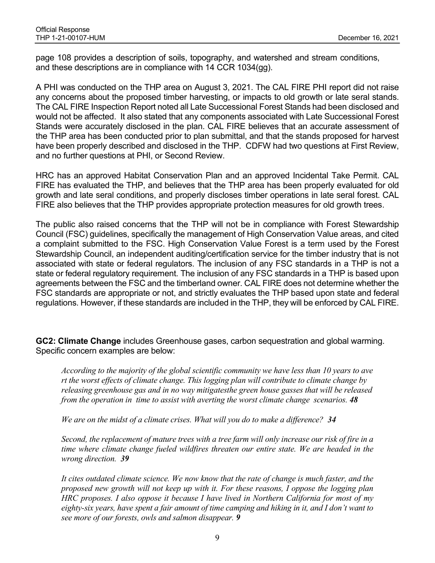page 108 provides a description of soils, topography, and watershed and stream conditions, and these descriptions are in compliance with 14 CCR 1034(gg).

A PHI was conducted on the THP area on August 3, 2021. The CAL FIRE PHI report did not raise any concerns about the proposed timber harvesting, or impacts to old growth or late seral stands. The CAL FIRE Inspection Report noted all Late Successional Forest Stands had been disclosed and would not be affected. It also stated that any components associated with Late Successional Forest Stands were accurately disclosed in the plan. CAL FIRE believes that an accurate assessment of the THP area has been conducted prior to plan submittal, and that the stands proposed for harvest have been properly described and disclosed in the THP. CDFW had two questions at First Review, and no further questions at PHI, or Second Review.

HRC has an approved Habitat Conservation Plan and an approved Incidental Take Permit. CAL FIRE has evaluated the THP, and believes that the THP area has been properly evaluated for old growth and late seral conditions, and properly discloses timber operations in late seral forest. CAL FIRE also believes that the THP provides appropriate protection measures for old growth trees.

The public also raised concerns that the THP will not be in compliance with Forest Stewardship Council (FSC) guidelines, specifically the management of High Conservation Value areas, and cited a complaint submitted to the FSC. High Conservation Value Forest is a term used by the Forest Stewardship Council, an independent auditing/certification service for the timber industry that is not associated with state or federal regulators. The inclusion of any FSC standards in a THP is not a state or federal regulatory requirement. The inclusion of any FSC standards in a THP is based upon agreements between the FSC and the timberland owner. CAL FIRE does not determine whether the FSC standards are appropriate or not, and strictly evaluates the THP based upon state and federal regulations. However, if these standards are included in the THP, they will be enforced by CAL FIRE.

GC2: Climate Change includes Greenhouse gases, carbon sequestration and global warming. Specific concern examples are below:

According to the majority of the global scientific community we have less than 10 years to ave rt the worst effects of climate change. This logging plan will contribute to climate change by releasing greenhouse gas and in no way mitigatesthe green house gasses that will be released from the operation in time to assist with averting the worst climate change scenarios. 48

We are on the midst of a climate crises. What will you do to make a difference? 34

Second, the replacement of mature trees with a tree farm will only increase our risk of fire in a time where climate change fueled wildfires threaten our entire state. We are headed in the wrong direction. 39

It cites outdated climate science. We now know that the rate of change is much faster, and the proposed new growth will not keep up with it. For these reasons, I oppose the logging plan HRC proposes. I also oppose it because I have lived in Northern California for most of my eighty-six years, have spent a fair amount of time camping and hiking in it, and I don't want to see more of our forests, owls and salmon disappear. 9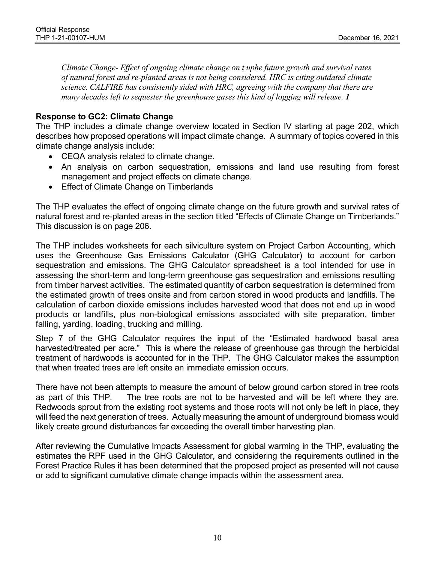Climate Change- Effect of ongoing climate change on t uphe future growth and survival rates of natural forest and re-planted areas is not being considered. HRC is citing outdated climate science. CALFIRE has consistently sided with HRC, agreeing with the company that there are many decades left to sequester the greenhouse gases this kind of logging will release. 1

## Response to GC2: Climate Change

The THP includes a climate change overview located in Section IV starting at page 202, which describes how proposed operations will impact climate change. A summary of topics covered in this climate change analysis include:

- CEQA analysis related to climate change.
- An analysis on carbon sequestration, emissions and land use resulting from forest management and project effects on climate change.
- **•** Effect of Climate Change on Timberlands

The THP evaluates the effect of ongoing climate change on the future growth and survival rates of natural forest and re-planted areas in the section titled "Effects of Climate Change on Timberlands." This discussion is on page 206.

The THP includes worksheets for each silviculture system on Project Carbon Accounting, which uses the Greenhouse Gas Emissions Calculator (GHG Calculator) to account for carbon sequestration and emissions. The GHG Calculator spreadsheet is a tool intended for use in assessing the short-term and long-term greenhouse gas sequestration and emissions resulting from timber harvest activities. The estimated quantity of carbon sequestration is determined from the estimated growth of trees onsite and from carbon stored in wood products and landfills. The calculation of carbon dioxide emissions includes harvested wood that does not end up in wood products or landfills, plus non-biological emissions associated with site preparation, timber falling, yarding, loading, trucking and milling.

Step 7 of the GHG Calculator requires the input of the "Estimated hardwood basal area harvested/treated per acre." This is where the release of greenhouse gas through the herbicidal treatment of hardwoods is accounted for in the THP. The GHG Calculator makes the assumption that when treated trees are left onsite an immediate emission occurs.

There have not been attempts to measure the amount of below ground carbon stored in tree roots as part of this THP. The tree roots are not to be harvested and will be left where they are. Redwoods sprout from the existing root systems and those roots will not only be left in place, they will feed the next generation of trees. Actually measuring the amount of underground biomass would likely create ground disturbances far exceeding the overall timber harvesting plan.

After reviewing the Cumulative Impacts Assessment for global warming in the THP, evaluating the estimates the RPF used in the GHG Calculator, and considering the requirements outlined in the Forest Practice Rules it has been determined that the proposed project as presented will not cause or add to significant cumulative climate change impacts within the assessment area.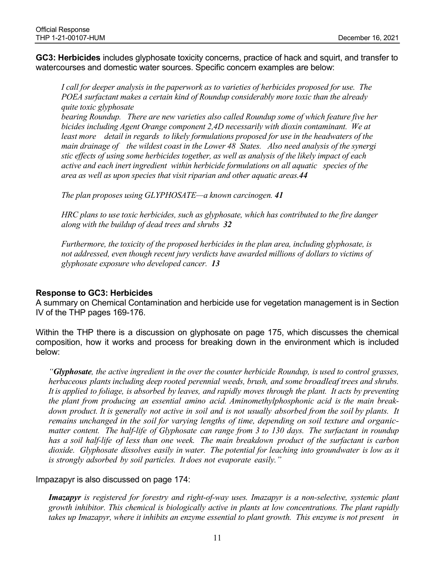GC3: Herbicides includes glyphosate toxicity concerns, practice of hack and squirt, and transfer to watercourses and domestic water sources. Specific concern examples are below:

I call for deeper analysis in the paperwork as to varieties of herbicides proposed for use. The POEA surfactant makes a certain kind of Roundup considerably more toxic than the already quite toxic glyphosate

bearing Roundup. There are new varieties also called Roundup some of which feature five her bicides including Agent Orange component 2,4D necessarily with dioxin contaminant. We at least more detail in regards to likely formulations proposed for use in the headwaters of the main drainage of the wildest coast in the Lower 48 States. Also need analysis of the synergi stic effects of using some herbicides together, as well as analysis of the likely impact of each active and each inert ingredient within herbicide formulations on all aquatic species of the area as well as upon species that visit riparian and other aquatic areas.44

The plan proposes using GLYPHOSATE—a known carcinogen. 41

HRC plans to use toxic herbicides, such as glyphosate, which has contributed to the fire danger along with the buildup of dead trees and shrubs 32

Furthermore, the toxicity of the proposed herbicides in the plan area, including glyphosate, is not addressed, even though recent jury verdicts have awarded millions of dollars to victims of glyphosate exposure who developed cancer. 13

## Response to GC3: Herbicides

A summary on Chemical Contamination and herbicide use for vegetation management is in Section IV of the THP pages 169-176.

Within the THP there is a discussion on glyphosate on page 175, which discusses the chemical composition, how it works and process for breaking down in the environment which is included below:

"Glyphosate, the active ingredient in the over the counter herbicide Roundup, is used to control grasses, herbaceous plants including deep rooted perennial weeds, brush, and some broadleaf trees and shrubs. It is applied to foliage, is absorbed by leaves, and rapidly moves through the plant. It acts by preventing the plant from producing an essential amino acid. Aminomethylphosphonic acid is the main breakdown product. It is generally not active in soil and is not usually absorbed from the soil by plants. It remains unchanged in the soil for varying lengths of time, depending on soil texture and organicmatter content. The half-life of Glyphosate can range from 3 to 130 days. The surfactant in roundup has a soil half-life of less than one week. The main breakdown product of the surfactant is carbon dioxide. Glyphosate dissolves easily in water. The potential for leaching into groundwater is low as it is strongly adsorbed by soil particles. It does not evaporate easily."

Impazapyr is also discussed on page 174:

Imazapyr is registered for forestry and right-of-way uses. Imazapyr is a non-selective, systemic plant growth inhibitor. This chemical is biologically active in plants at low concentrations. The plant rapidly takes up Imazapyr, where it inhibits an enzyme essential to plant growth. This enzyme is not present in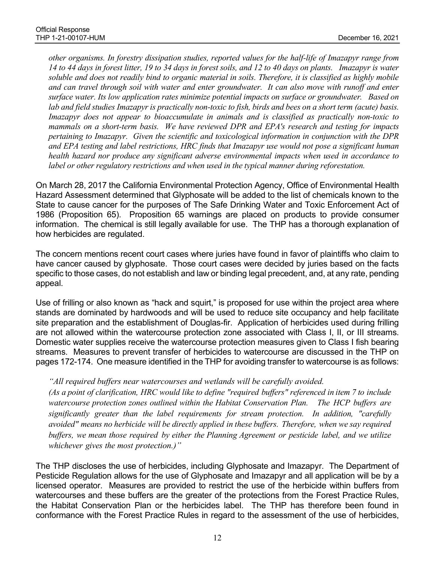other organisms. In forestry dissipation studies, reported values for the half-life of Imazapyr range from 14 to 44 days in forest litter, 19 to 34 days in forest soils, and 12 to 40 days on plants. Imazapyr is water soluble and does not readily bind to organic material in soils. Therefore, it is classified as highly mobile and can travel through soil with water and enter groundwater. It can also move with runoff and enter surface water. Its low application rates minimize potential impacts on surface or groundwater. Based on lab and field studies Imazapyr is practically non-toxic to fish, birds and bees on a short term (acute) basis. Imazapyr does not appear to bioaccumulate in animals and is classified as practically non-toxic to mammals on a short-term basis. We have reviewed DPR and EPA's research and testing for impacts pertaining to Imazapyr. Given the scientific and toxicological information in conjunction with the DPR and EPA testing and label restrictions, HRC finds that Imazapyr use would not pose a significant human health hazard nor produce any significant adverse environmental impacts when used in accordance to label or other regulatory restrictions and when used in the typical manner during reforestation.

On March 28, 2017 the California Environmental Protection Agency, Office of Environmental Health Hazard Assessment determined that Glyphosate will be added to the list of chemicals known to the State to cause cancer for the purposes of The Safe Drinking Water and Toxic Enforcement Act of 1986 (Proposition 65). Proposition 65 warnings are placed on products to provide consumer information. The chemical is still legally available for use. The THP has a thorough explanation of how herbicides are regulated.

The concern mentions recent court cases where juries have found in favor of plaintiffs who claim to have cancer caused by glyphosate. Those court cases were decided by juries based on the facts specific to those cases, do not establish and law or binding legal precedent, and, at any rate, pending appeal.

Use of frilling or also known as "hack and squirt," is proposed for use within the project area where stands are dominated by hardwoods and will be used to reduce site occupancy and help facilitate site preparation and the establishment of Douglas-fir. Application of herbicides used during frilling are not allowed within the watercourse protection zone associated with Class I, II, or III streams. Domestic water supplies receive the watercourse protection measures given to Class I fish bearing streams. Measures to prevent transfer of herbicides to watercourse are discussed in the THP on pages 172-174. One measure identified in the THP for avoiding transfer to watercourse is as follows:

## "All required buffers near watercourses and wetlands will be carefully avoided.

(As a point of clarification, HRC would like to define "required buffers" referenced in item 7 to include watercourse protection zones outlined within the Habitat Conservation Plan. The HCP buffers are significantly greater than the label requirements for stream protection. In addition, "carefully avoided" means no herbicide will be directly applied in these buffers. Therefore, when we say required buffers, we mean those required by either the Planning Agreement or pesticide label, and we utilize whichever gives the most protection.)"

The THP discloses the use of herbicides, including Glyphosate and Imazapyr. The Department of Pesticide Regulation allows for the use of Glyphosate and Imazapyr and all application will be by a licensed operator. Measures are provided to restrict the use of the herbicide within buffers from watercourses and these buffers are the greater of the protections from the Forest Practice Rules, the Habitat Conservation Plan or the herbicides label. The THP has therefore been found in conformance with the Forest Practice Rules in regard to the assessment of the use of herbicides,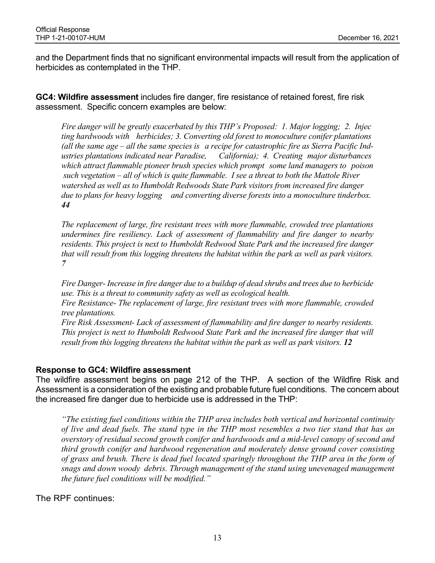and the Department finds that no significant environmental impacts will result from the application of herbicides as contemplated in the THP.

GC4: Wildfire assessment includes fire danger, fire resistance of retained forest, fire risk assessment. Specific concern examples are below:

Fire danger will be greatly exacerbated by this THP's Proposed: 1. Major logging; 2. Injec ting hardwoods with herbicides; 3. Converting old forest to monoculture conifer plantations (all the same age – all the same species is a recipe for catastrophic fire as Sierra Pacific Industries plantations indicated near Paradise, California); 4. Creating major disturbances which attract flammable pioneer brush species which prompt some land managers to poison such vegetation – all of which is quite flammable. I see a threat to both the Mattole River watershed as well as to Humboldt Redwoods State Park visitors from increased fire danger due to plans for heavy logging and converting diverse forests into a monoculture tinderbox. 44

The replacement of large, fire resistant trees with more flammable, crowded tree plantations undermines fire resiliency. Lack of assessment of flammability and fire danger to nearby residents. This project is next to Humboldt Redwood State Park and the increased fire danger that will result from this logging threatens the habitat within the park as well as park visitors. 7

Fire Danger- Increase in fire danger due to a buildup of dead shrubs and trees due to herbicide use. This is a threat to community safety as well as ecological health.

Fire Resistance- The replacement of large, fire resistant trees with more flammable, crowded tree plantations.

Fire Risk Assessment- Lack of assessment of flammability and fire danger to nearby residents. This project is next to Humboldt Redwood State Park and the increased fire danger that will result from this logging threatens the habitat within the park as well as park visitors. 12

## Response to GC4: Wildfire assessment

The wildfire assessment begins on page 212 of the THP. A section of the Wildfire Risk and Assessment is a consideration of the existing and probable future fuel conditions. The concern about the increased fire danger due to herbicide use is addressed in the THP:

"The existing fuel conditions within the THP area includes both vertical and horizontal continuity of live and dead fuels. The stand type in the THP most resembles a two tier stand that has an overstory of residual second growth conifer and hardwoods and a mid-level canopy of second and third growth conifer and hardwood regeneration and moderately dense ground cover consisting of grass and brush. There is dead fuel located sparingly throughout the THP area in the form of snags and down woody debris. Through management of the stand using unevenaged management the future fuel conditions will be modified."

The RPF continues: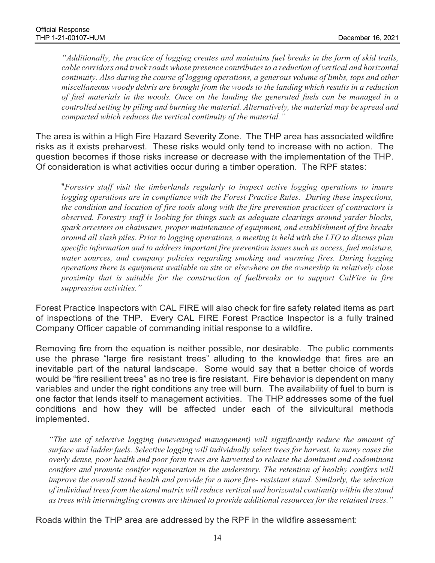"Additionally, the practice of logging creates and maintains fuel breaks in the form of skid trails, cable corridors and truck roads whose presence contributes to a reduction of vertical and horizontal continuity. Also during the course of logging operations, a generous volume of limbs, tops and other miscellaneous woody debris are brought from the woods to the landing which results in a reduction of fuel materials in the woods. Once on the landing the generated fuels can be managed in a controlled setting by piling and burning the material. Alternatively, the material may be spread and compacted which reduces the vertical continuity of the material."

The area is within a High Fire Hazard Severity Zone. The THP area has associated wildfire risks as it exists preharvest. These risks would only tend to increase with no action. The question becomes if those risks increase or decrease with the implementation of the THP. Of consideration is what activities occur during a timber operation. The RPF states:<br>"Forestry staff visit the timberlands regularly to inspect active logging operations to insure

logging operations are in compliance with the Forest Practice Rules. During these inspections, the condition and location of fire tools along with the fire prevention practices of contractors is observed. Forestry staff is looking for things such as adequate clearings around yarder blocks, spark arresters on chainsaws, proper maintenance of equipment, and establishment of fire breaks around all slash piles. Prior to logging operations, a meeting is held with the LTO to discuss plan specific information and to address important fire prevention issues such as access, fuel moisture, water sources, and company policies regarding smoking and warming fires. During logging operations there is equipment available on site or elsewhere on the ownership in relatively close proximity that is suitable for the construction of fuelbreaks or to support CalFire in fire suppression activities."

Forest Practice Inspectors with CAL FIRE will also check for fire safety related items as part of inspections of the THP. Every CAL FIRE Forest Practice Inspector is a fully trained Company Officer capable of commanding initial response to a wildfire.

Removing fire from the equation is neither possible, nor desirable. The public comments use the phrase "large fire resistant trees" alluding to the knowledge that fires are an inevitable part of the natural landscape. Some would say that a better choice of words would be "fire resilient trees" as no tree is fire resistant. Fire behavior is dependent on many variables and under the right conditions any tree will burn. The availability of fuel to burn is one factor that lends itself to management activities. The THP addresses some of the fuel conditions and how they will be affected under each of the silvicultural methods implemented.

"The use of selective logging (unevenaged management) will significantly reduce the amount of surface and ladder fuels. Selective logging will individually select trees for harvest. In many cases the overly dense, poor health and poor form trees are harvested to release the dominant and codominant conifers and promote conifer regeneration in the understory. The retention of healthy conifers will improve the overall stand health and provide for a more fire- resistant stand. Similarly, the selection of individual trees from the stand matrix will reduce vertical and horizontal continuity within the stand as trees with intermingling crowns are thinned to provide additional resources for the retained trees."

Roads within the THP area are addressed by the RPF in the wildfire assessment: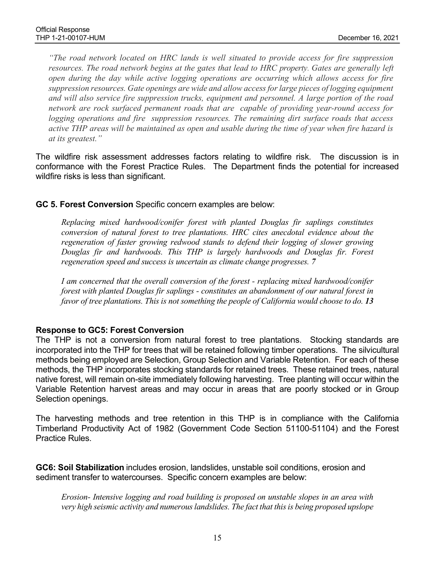"The road network located on HRC lands is well situated to provide access for fire suppression resources. The road network begins at the gates that lead to HRC property. Gates are generally left open during the day while active logging operations are occurring which allows access for fire suppression resources. Gate openings are wide and allow access for large pieces of logging equipment and will also service fire suppression trucks, equipment and personnel. A large portion of the road network are rock surfaced permanent roads that are capable of providing year-round access for logging operations and fire suppression resources. The remaining dirt surface roads that access active THP areas will be maintained as open and usable during the time of year when fire hazard is at its greatest."

The wildfire risk assessment addresses factors relating to wildfire risk. The discussion is in conformance with the Forest Practice Rules. The Department finds the potential for increased wildfire risks is less than significant.

## GC 5. Forest Conversion Specific concern examples are below:

Replacing mixed hardwood/conifer forest with planted Douglas fir saplings constitutes conversion of natural forest to tree plantations. HRC cites anecdotal evidence about the regeneration of faster growing redwood stands to defend their logging of slower growing Douglas fir and hardwoods. This THP is largely hardwoods and Douglas fir. Forest regeneration speed and success is uncertain as climate change progresses. 7

I am concerned that the overall conversion of the forest - replacing mixed hardwood/conifer forest with planted Douglas fir saplings - constitutes an abandonment of our natural forest in favor of tree plantations. This is not something the people of California would choose to do. 13

## Response to GC5: Forest Conversion

The THP is not a conversion from natural forest to tree plantations. Stocking standards are incorporated into the THP for trees that will be retained following timber operations. The silvicultural methods being employed are Selection, Group Selection and Variable Retention. For each of these methods, the THP incorporates stocking standards for retained trees. These retained trees, natural native forest, will remain on-site immediately following harvesting. Tree planting will occur within the Variable Retention harvest areas and may occur in areas that are poorly stocked or in Group Selection openings.

The harvesting methods and tree retention in this THP is in compliance with the California Timberland Productivity Act of 1982 (Government Code Section 51100-51104) and the Forest Practice Rules.

GC6: Soil Stabilization includes erosion, landslides, unstable soil conditions, erosion and sediment transfer to watercourses. Specific concern examples are below:

Erosion- Intensive logging and road building is proposed on unstable slopes in an area with very high seismic activity and numerous landslides. The fact that this is being proposed upslope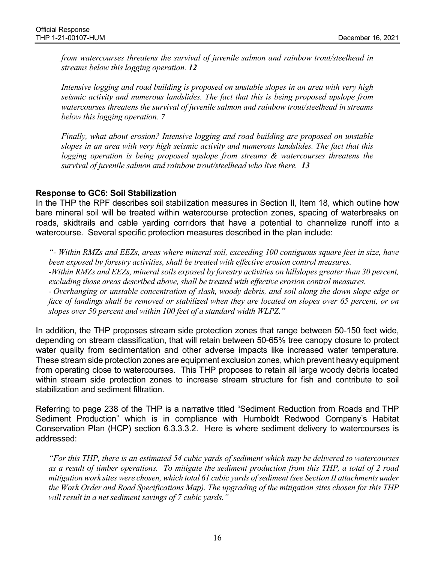from watercourses threatens the survival of juvenile salmon and rainbow trout/steelhead in streams below this logging operation. 12

Intensive logging and road building is proposed on unstable slopes in an area with very high seismic activity and numerous landslides. The fact that this is being proposed upslope from watercourses threatens the survival of juvenile salmon and rainbow trout/steelhead in streams below this logging operation. 7

Finally, what about erosion? Intensive logging and road building are proposed on unstable slopes in an area with very high seismic activity and numerous landslides. The fact that this logging operation is being proposed upslope from streams & watercourses threatens the survival of juvenile salmon and rainbow trout/steelhead who live there. 13

#### Response to GC6: Soil Stabilization

In the THP the RPF describes soil stabilization measures in Section II, Item 18, which outline how bare mineral soil will be treated within watercourse protection zones, spacing of waterbreaks on roads, skidtrails and cable yarding corridors that have a potential to channelize runoff into a watercourse. Several specific protection measures described in the plan include:

"- Within RMZs and EEZs, areas where mineral soil, exceeding 100 contiguous square feet in size, have been exposed by forestry activities, shall be treated with effective erosion control measures. -Within RMZs and EEZs, mineral soils exposed by forestry activities on hillslopes greater than 30 percent, excluding those areas described above, shall be treated with effective erosion control measures. - Overhanging or unstable concentration of slash, woody debris, and soil along the down slope edge or face of landings shall be removed or stabilized when they are located on slopes over 65 percent, or on slopes over 50 percent and within 100 feet of a standard width WLPZ."

In addition, the THP proposes stream side protection zones that range between 50-150 feet wide, depending on stream classification, that will retain between 50-65% tree canopy closure to protect water quality from sedimentation and other adverse impacts like increased water temperature. These stream side protection zones are equipment exclusion zones, which prevent heavy equipment from operating close to watercourses. This THP proposes to retain all large woody debris located within stream side protection zones to increase stream structure for fish and contribute to soil stabilization and sediment filtration.

Referring to page 238 of the THP is a narrative titled "Sediment Reduction from Roads and THP Sediment Production" which is in compliance with Humboldt Redwood Company's Habitat Conservation Plan (HCP) section 6.3.3.3.2. Here is where sediment delivery to watercourses is addressed:

"For this THP, there is an estimated 54 cubic yards of sediment which may be delivered to watercourses as a result of timber operations. To mitigate the sediment production from this THP, a total of 2 road mitigation work sites were chosen, which total 61 cubic yards of sediment (see Section II attachments under the Work Order and Road Specifications Map). The upgrading of the mitigation sites chosen for this THP will result in a net sediment savings of 7 cubic vards."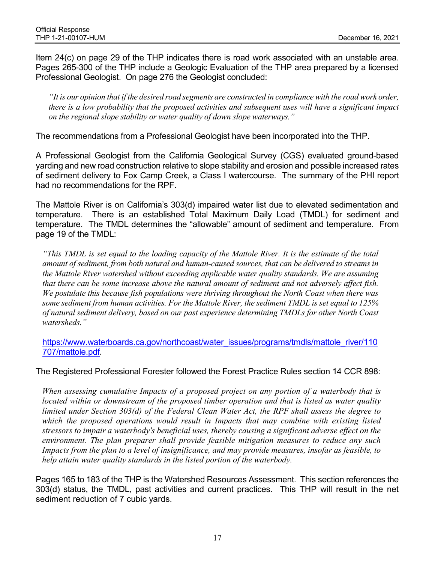Item 24(c) on page 29 of the THP indicates there is road work associated with an unstable area. Pages 265-300 of the THP include a Geologic Evaluation of the THP area prepared by a licensed Professional Geologist. On page 276 the Geologist concluded:

"It is our opinion that if the desired road segments are constructed in compliance with the road work order, there is a low probability that the proposed activities and subsequent uses will have a significant impact on the regional slope stability or water quality of down slope waterways."

The recommendations from a Professional Geologist have been incorporated into the THP.

A Professional Geologist from the California Geological Survey (CGS) evaluated ground-based yarding and new road construction relative to slope stability and erosion and possible increased rates of sediment delivery to Fox Camp Creek, a Class I watercourse. The summary of the PHI report had no recommendations for the RPF.

The Mattole River is on California's 303(d) impaired water list due to elevated sedimentation and temperature. There is an established Total Maximum Daily Load (TMDL) for sediment and temperature. The TMDL determines the "allowable" amount of sediment and temperature. From page 19 of the TMDL:

"This TMDL is set equal to the loading capacity of the Mattole River. It is the estimate of the total amount of sediment, from both natural and human-caused sources, that can be delivered to streams in the Mattole River watershed without exceeding applicable water quality standards. We are assuming that there can be some increase above the natural amount of sediment and not adversely affect fish. We postulate this because fish populations were thriving throughout the North Coast when there was some sediment from human activities. For the Mattole River, the sediment TMDL is set equal to 125% of natural sediment delivery, based on our past experience determining TMDLs for other North Coast watersheds."

https://www.waterboards.ca.gov/northcoast/water\_issues/programs/tmdls/mattole\_river/110 707/mattole.pdf.

The Registered Professional Forester followed the Forest Practice Rules section 14 CCR 898:

When assessing cumulative Impacts of a proposed project on any portion of a waterbody that is located within or downstream of the proposed timber operation and that is listed as water quality limited under Section 303(d) of the Federal Clean Water Act, the RPF shall assess the degree to which the proposed operations would result in Impacts that may combine with existing listed stressors to impair a waterbody's beneficial uses, thereby causing a significant adverse effect on the environment. The plan preparer shall provide feasible mitigation measures to reduce any such Impacts from the plan to a level of insignificance, and may provide measures, insofar as feasible, to help attain water quality standards in the listed portion of the waterbody.

Pages 165 to 183 of the THP is the Watershed Resources Assessment. This section references the 303(d) status, the TMDL, past activities and current practices. This THP will result in the net sediment reduction of 7 cubic yards.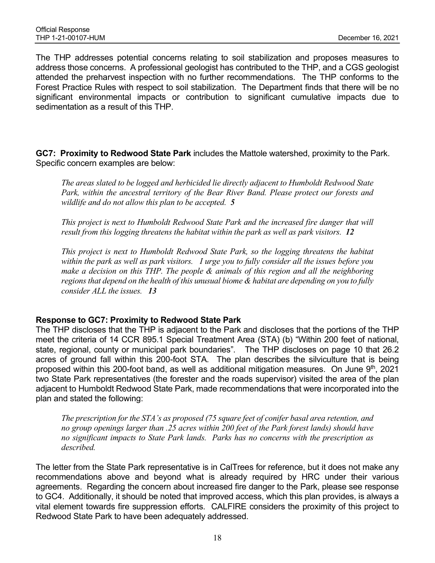The THP addresses potential concerns relating to soil stabilization and proposes measures to address those concerns. A professional geologist has contributed to the THP, and a CGS geologist attended the preharvest inspection with no further recommendations. The THP conforms to the Forest Practice Rules with respect to soil stabilization. The Department finds that there will be no significant environmental impacts or contribution to significant cumulative impacts due to sedimentation as a result of this THP.

GC7: Proximity to Redwood State Park includes the Mattole watershed, proximity to the Park. Specific concern examples are below:

The areas slated to be logged and herbicided lie directly adjacent to Humboldt Redwood State Park, within the ancestral territory of the Bear River Band. Please protect our forests and wildlife and do not allow this plan to be accepted. 5

This project is next to Humboldt Redwood State Park and the increased fire danger that will result from this logging threatens the habitat within the park as well as park visitors. 12

This project is next to Humboldt Redwood State Park, so the logging threatens the habitat within the park as well as park visitors. I urge you to fully consider all the issues before you make a decision on this THP. The people  $\&$  animals of this region and all the neighboring regions that depend on the health of this unusual biome  $\&$  habitat are depending on you to fully consider ALL the issues. 13

#### Response to GC7: Proximity to Redwood State Park

The THP discloses that the THP is adjacent to the Park and discloses that the portions of the THP meet the criteria of 14 CCR 895.1 Special Treatment Area (STA) (b) "Within 200 feet of national, state, regional, county or municipal park boundaries". The THP discloses on page 10 that 26.2 acres of ground fall within this 200-foot STA. The plan describes the silviculture that is being proposed within this 200-foot band, as well as additional mitigation measures. On June 9<sup>th</sup>, 2021 two State Park representatives (the forester and the roads supervisor) visited the area of the plan adjacent to Humboldt Redwood State Park, made recommendations that were incorporated into the plan and stated the following:

The prescription for the STA's as proposed (75 square feet of conifer basal area retention, and no group openings larger than .25 acres within 200 feet of the Park forest lands) should have no significant impacts to State Park lands. Parks has no concerns with the prescription as described.

The letter from the State Park representative is in CalTrees for reference, but it does not make any recommendations above and beyond what is already required by HRC under their various agreements. Regarding the concern about increased fire danger to the Park, please see response to GC4. Additionally, it should be noted that improved access, which this plan provides, is always a vital element towards fire suppression efforts. CALFIRE considers the proximity of this project to Redwood State Park to have been adequately addressed.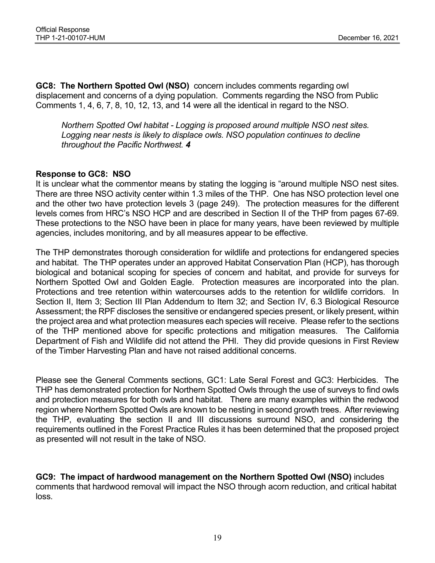GC8: The Northern Spotted Owl (NSO) concern includes comments regarding owl displacement and concerns of a dying population. Comments regarding the NSO from Public Comments 1, 4, 6, 7, 8, 10, 12, 13, and 14 were all the identical in regard to the NSO.

Northern Spotted Owl habitat - Logging is proposed around multiple NSO nest sites. Logging near nests is likely to displace owls. NSO population continues to decline throughout the Pacific Northwest. 4

## Response to GC8: NSO

It is unclear what the commentor means by stating the logging is "around multiple NSO nest sites. There are three NSO activity center within 1.3 miles of the THP. One has NSO protection level one and the other two have protection levels 3 (page 249). The protection measures for the different levels comes from HRC's NSO HCP and are described in Section II of the THP from pages 67-69. These protections to the NSO have been in place for many years, have been reviewed by multiple agencies, includes monitoring, and by all measures appear to be effective.

The THP demonstrates thorough consideration for wildlife and protections for endangered species and habitat. The THP operates under an approved Habitat Conservation Plan (HCP), has thorough biological and botanical scoping for species of concern and habitat, and provide for surveys for Northern Spotted Owl and Golden Eagle. Protection measures are incorporated into the plan. Protections and tree retention within watercourses adds to the retention for wildlife corridors. In Section II, Item 3; Section III Plan Addendum to Item 32; and Section IV, 6.3 Biological Resource Assessment; the RPF discloses the sensitive or endangered species present, or likely present, within the project area and what protection measures each species will receive. Please refer to the sections of the THP mentioned above for specific protections and mitigation measures. The California Department of Fish and Wildlife did not attend the PHI. They did provide quesions in First Review of the Timber Harvesting Plan and have not raised additional concerns.

Please see the General Comments sections, GC1: Late Seral Forest and GC3: Herbicides. The THP has demonstrated protection for Northern Spotted Owls through the use of surveys to find owls and protection measures for both owls and habitat. There are many examples within the redwood region where Northern Spotted Owls are known to be nesting in second growth trees. After reviewing the THP, evaluating the section II and III discussions surround NSO, and considering the requirements outlined in the Forest Practice Rules it has been determined that the proposed project as presented will not result in the take of NSO.

GC9: The impact of hardwood management on the Northern Spotted Owl (NSO) includes comments that hardwood removal will impact the NSO through acorn reduction, and critical habitat loss.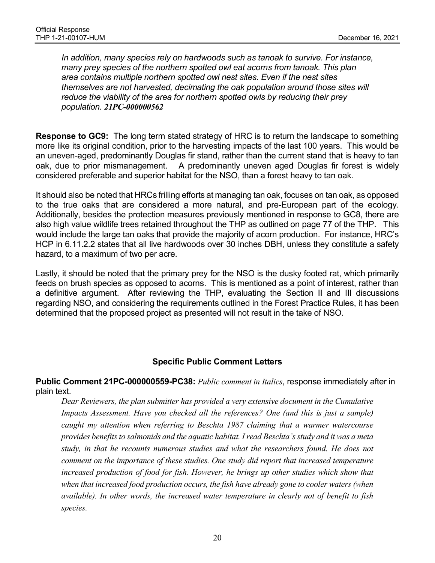In addition, many species rely on hardwoods such as tanoak to survive. For instance, many prey species of the northern spotted owl eat acorns from tanoak. This plan area contains multiple northern spotted owl nest sites. Even if the nest sites themselves are not harvested, decimating the oak population around those sites will reduce the viability of the area for northern spotted owls by reducing their prey population. 21PC-000000562

Response to GC9: The long term stated strategy of HRC is to return the landscape to something more like its original condition, prior to the harvesting impacts of the last 100 years. This would be an uneven-aged, predominantly Douglas fir stand, rather than the current stand that is heavy to tan oak, due to prior mismanagement. A predominantly uneven aged Douglas fir forest is widely considered preferable and superior habitat for the NSO, than a forest heavy to tan oak.

It should also be noted that HRCs frilling efforts at managing tan oak, focuses on tan oak, as opposed to the true oaks that are considered a more natural, and pre-European part of the ecology. Additionally, besides the protection measures previously mentioned in response to GC8, there are also high value wildlife trees retained throughout the THP as outlined on page 77 of the THP. This would include the large tan oaks that provide the majority of acorn production. For instance, HRC's HCP in 6.11.2.2 states that all live hardwoods over 30 inches DBH, unless they constitute a safety hazard, to a maximum of two per acre.

Lastly, it should be noted that the primary prey for the NSO is the dusky footed rat, which primarily feeds on brush species as opposed to acorns. This is mentioned as a point of interest, rather than a definitive argument. After reviewing the THP, evaluating the Section II and III discussions regarding NSO, and considering the requirements outlined in the Forest Practice Rules, it has been determined that the proposed project as presented will not result in the take of NSO.

## Specific Public Comment Letters

Public Comment 21PC-000000559-PC38: Public comment in Italics, response immediately after in plain text.

Dear Reviewers, the plan submitter has provided a very extensive document in the Cumulative Impacts Assessment. Have you checked all the references? One (and this is just a sample) caught my attention when referring to Beschta 1987 claiming that a warmer watercourse provides benefits to salmonids and the aquatic habitat. I read Beschta's study and it was a meta study, in that he recounts numerous studies and what the researchers found. He does not comment on the importance of these studies. One study did report that increased temperature increased production of food for fish. However, he brings up other studies which show that when that increased food production occurs, the fish have already gone to cooler waters (when available). In other words, the increased water temperature in clearly not of benefit to fish species.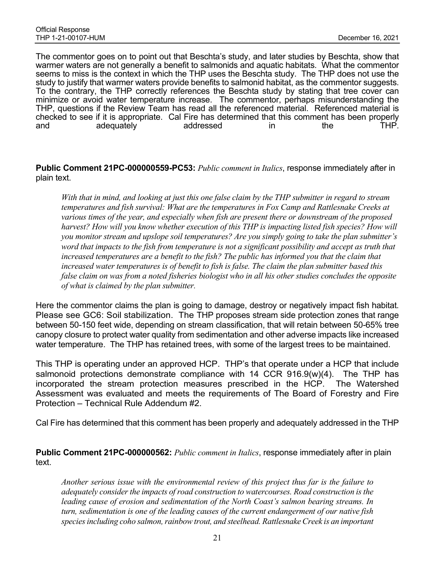The commentor goes on to point out that Beschta's study, and later studies by Beschta, show that warmer waters are not generally a benefit to salmonids and aquatic habitats. What the commentor seems to miss is the context in which the THP uses the Beschta study. The THP does not use the study to justify that warmer waters provide benefits to salmonid habitat, as the commentor suggests. To the contrary, the THP correctly references the Beschta study by stating that tree cover can minimize or avoid water temperature increase. The commentor, perhaps misunderstanding the THP, questions if the Review Team has read all the referenced material. Referenced material is checked to see if it is appropriate. Cal Fire has determined that this comment has been properly and adequately addressed in the THP.

Public Comment 21PC-000000559-PC53: Public comment in Italics, response immediately after in plain text.

With that in mind, and looking at just this one false claim by the THP submitter in regard to stream temperatures and fish survival: What are the temperatures in Fox Camp and Rattlesnake Creeks at various times of the year, and especially when fish are present there or downstream of the proposed harvest? How will you know whether execution of this THP is impacting listed fish species? How will you monitor stream and upslope soil temperatures? Are you simply going to take the plan submitter's word that impacts to the fish from temperature is not a significant possibility and accept as truth that increased temperatures are a benefit to the fish? The public has informed you that the claim that increased water temperatures is of benefit to fish is false. The claim the plan submitter based this false claim on was from a noted fisheries biologist who in all his other studies concludes the opposite of what is claimed by the plan submitter.

Here the commentor claims the plan is going to damage, destroy or negatively impact fish habitat. Please see GC6: Soil stabilization. The THP proposes stream side protection zones that range between 50-150 feet wide, depending on stream classification, that will retain between 50-65% tree canopy closure to protect water quality from sedimentation and other adverse impacts like increased water temperature. The THP has retained trees, with some of the largest trees to be maintained.

This THP is operating under an approved HCP. THP's that operate under a HCP that include salmonoid protections demonstrate compliance with 14 CCR 916.9(w)(4). The THP has incorporated the stream protection measures prescribed in the HCP. The Watershed Assessment was evaluated and meets the requirements of The Board of Forestry and Fire Protection – Technical Rule Addendum #2.

Cal Fire has determined that this comment has been properly and adequately addressed in the THP

Public Comment 21PC-000000562: Public comment in Italics, response immediately after in plain text.

Another serious issue with the environmental review of this project thus far is the failure to adequately consider the impacts of road construction to watercourses. Road construction is the leading cause of erosion and sedimentation of the North Coast's salmon bearing streams. In turn, sedimentation is one of the leading causes of the current endangerment of our native fish species including coho salmon, rainbow trout, and steelhead. Rattlesnake Creek is an important